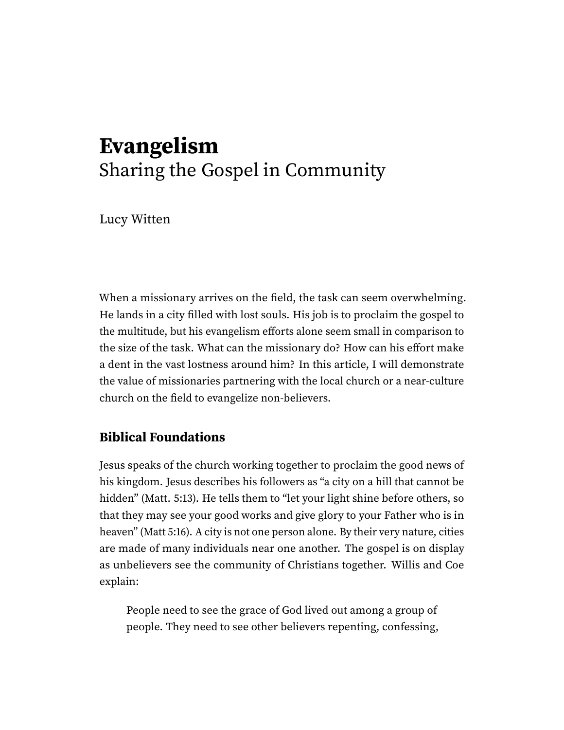## **Evangelism** Sharing the Gospel in Community

Lucy Witten

When a missionary arrives on the field, the task can seem overwhelming. He lands in a city filled with lost souls. His job is to proclaim the gospel to the multitude, but his evangelism efforts alone seem small in comparison to the size of the task. What can the missionary do? How can his effort make a dent in the vast lostness around him? In this article, I will demonstrate the value of missionaries partnering with the local church or a near-culture church on the field to evangelize non-believers.

## **Biblical Foundations**

Jesus speaks of the church working together to proclaim the good news of his kingdom. Jesus describes his followers as "a city on a hill that cannot be hidden" (Matt. 5:13). He tells them to "let your light shine before others, so that they may see your good works and give glory to your Father who is in heaven" (Matt 5:16). A city is not one person alone. By their very nature, cities are made of many individuals near one another. The gospel is on display as unbelievers see the community of Christians together. Willis and Coe explain:

People need to see the grace of God lived out among a group of people. They need to see other believers repenting, confessing,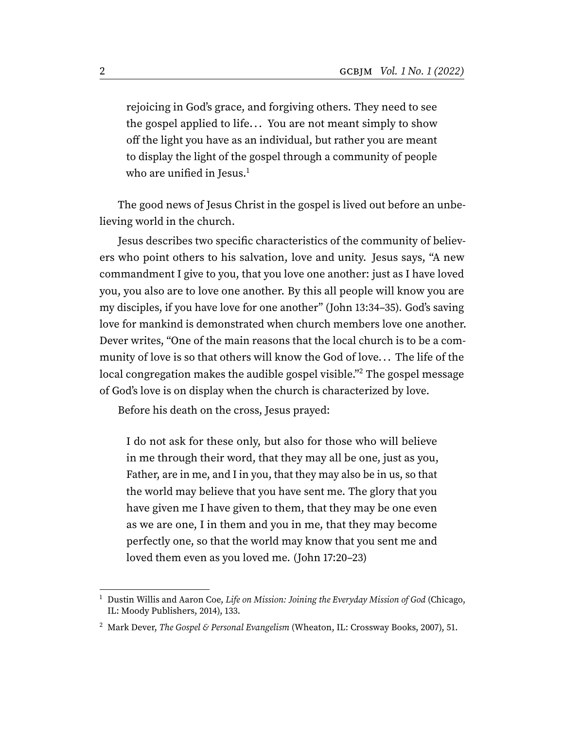<span id="page-1-2"></span>rejoicing in God's grace, and forgiving others. They need to see the gospel applied to life... You are not meant simply to show off the light you have as an individual, but rather you are meant to display the light of the gospel through a community of people who are unified in Jesus.<sup>[1](#page-1-0)</sup>

The good news of Jesus Christ in the gospel is lived out before an unbelieving world in the church.

Jesus describes two specific characteristics of the community of believers who point others to his salvation, love and unity. Jesus says, "A new commandment I give to you, that you love one another: just as I have loved you, you also are to love one another. By this all people will know you are my disciples, if you have love for one another" (John 13:34–35). God's saving love for mankind is demonstrated when church members love one another. Dever writes, "One of the main reasons that the local church is to be a community of love is so that others will know the God of love. . . The life of the local congregation makes the audible gospel visible."[2](#page-1-1) The gospel message of God's love is on display when the church is characterized by love.

Before his death on the cross, Jesus prayed:

<span id="page-1-3"></span>I do not ask for these only, but also for those who will believe in me through their word, that they may all be one, just as you, Father, are in me, and I in you, that they may also be in us, so that the world may believe that you have sent me. The glory that you have given me I have given to them, that they may be one even as we are one, I in them and you in me, that they may become perfectly one, so that the world may know that you sent me and loved them even as you loved me. (John 17:20–23)

<span id="page-1-0"></span><sup>&</sup>lt;sup>[1](#page-1-2)</sup> Dustin Willis and Aaron Coe, Life on Mission: Joining the Everyday Mission of God (Chicago, IL: Moody Publishers, 2014), 133.

<span id="page-1-1"></span><sup>&</sup>lt;sup>[2](#page-1-3)</sup> Mark Dever, The Gospel & Personal Evangelism (Wheaton, IL: Crossway Books, 2007), 51.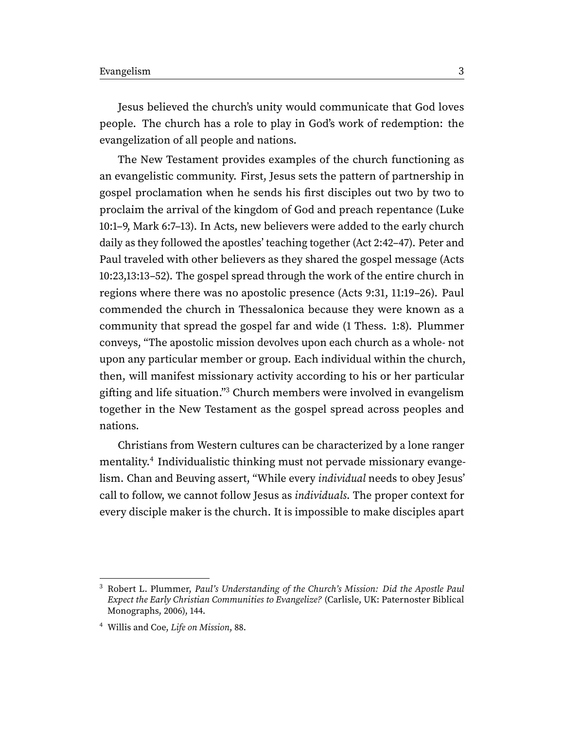Jesus believed the church's unity would communicate that God loves people. The church has a role to play in God's work of redemption: the evangelization of all people and nations.

The New Testament provides examples of the church functioning as an evangelistic community. First, Jesus sets the pattern of partnership in gospel proclamation when he sends his first disciples out two by two to proclaim the arrival of the kingdom of God and preach repentance (Luke 10:1–9, Mark 6:7–13). In Acts, new believers were added to the early church daily as they followed the apostles' teaching together (Act 2:42–47). Peter and Paul traveled with other believers as they shared the gospel message (Acts 10:23,13:13–52). The gospel spread through the work of the entire church in regions where there was no apostolic presence (Acts 9:31, 11:19–26). Paul commended the church in Thessalonica because they were known as a community that spread the gospel far and wide (1 Thess. 1:8). Plummer conveys, "The apostolic mission devolves upon each church as a whole- not upon any particular member or group. Each individual within the church, then, will manifest missionary activity according to his or her particular gifting and life situation."[3](#page-2-0) Church members were involved in evangelism together in the New Testament as the gospel spread across peoples and nations.

<span id="page-2-3"></span><span id="page-2-2"></span>Christians from Western cultures can be characterized by a lone ranger mentality.[4](#page-2-1) Individualistic thinking must not pervade missionary evangelism. Chan and Beuving assert, "While every individual needs to obey Jesus' call to follow, we cannot follow Jesus as individuals. The proper context for every disciple maker is the church. It is impossible to make disciples apart

<span id="page-2-0"></span><sup>&</sup>lt;sup>[3](#page-2-2)</sup> Robert L. Plummer, Paul's Understanding of the Church's Mission: Did the Apostle Paul Expect the Early Christian Communities to Evangelize? (Carlisle, UK: Paternoster Biblical Monographs, 2006), 144.

<span id="page-2-1"></span>[<sup>4</sup>](#page-2-3) Willis and Coe, Life on Mission, 88.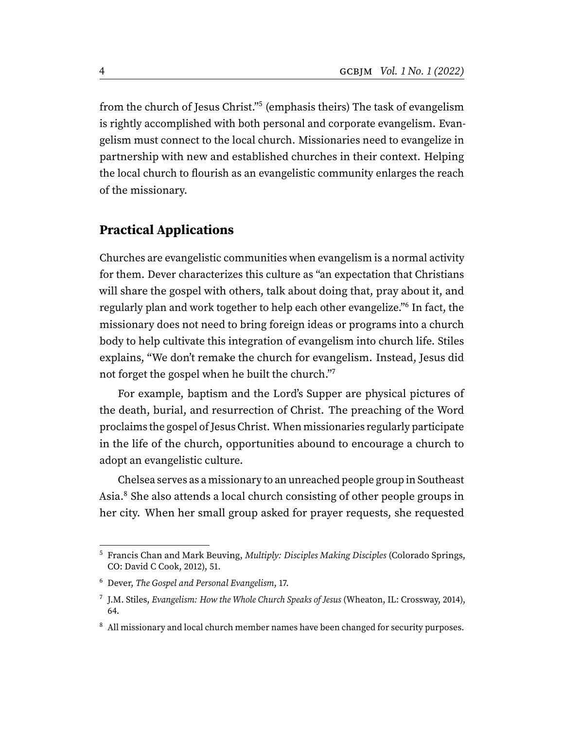<span id="page-3-4"></span>from the church of Jesus Christ."<sup>[5](#page-3-0)</sup> (emphasis theirs) The task of evangelism is rightly accomplished with both personal and corporate evangelism. Evangelism must connect to the local church. Missionaries need to evangelize in partnership with new and established churches in their context. Helping the local church to flourish as an evangelistic community enlarges the reach of the missionary.

## **Practical Applications**

<span id="page-3-5"></span>Churches are evangelistic communities when evangelism is a normal activity for them. Dever characterizes this culture as "an expectation that Christians will share the gospel with others, talk about doing that, pray about it, and regularly plan and work together to help each other evangelize."[6](#page-3-1) In fact, the missionary does not need to bring foreign ideas or programs into a church body to help cultivate this integration of evangelism into church life. Stiles explains, "We don't remake the church for evangelism. Instead, Jesus did not forget the gospel when he built the church."[7](#page-3-2)

<span id="page-3-6"></span>For example, baptism and the Lord's Supper are physical pictures of the death, burial, and resurrection of Christ. The preaching of the Word proclaims the gospel of Jesus Christ. When missionaries regularly participate in the life of the church, opportunities abound to encourage a church to adopt an evangelistic culture.

<span id="page-3-7"></span>Chelsea serves as a missionary to an unreached people group in Southeast Asia.[8](#page-3-3) She also attends a local church consisting of other people groups in her city. When her small group asked for prayer requests, she requested

<span id="page-3-0"></span><sup>&</sup>lt;sup>[5](#page-3-4)</sup> Francis Chan and Mark Beuving, *Multiply: Disciples Making Disciples* (Colorado Springs, CO: David C Cook, 2012), 51.

<span id="page-3-1"></span>[<sup>6</sup>](#page-3-5) Dever, The Gospel and Personal Evangelism, 17.

<span id="page-3-2"></span><sup>&</sup>lt;sup>[7](#page-3-6)</sup> J.M. Stiles, Evangelism: How the Whole Church Speaks of Jesus (Wheaton, IL: Crossway, 2014), 64.

<span id="page-3-3"></span><sup>&</sup>lt;sup>[8](#page-3-7)</sup> All missionary and local church member names have been changed for security purposes.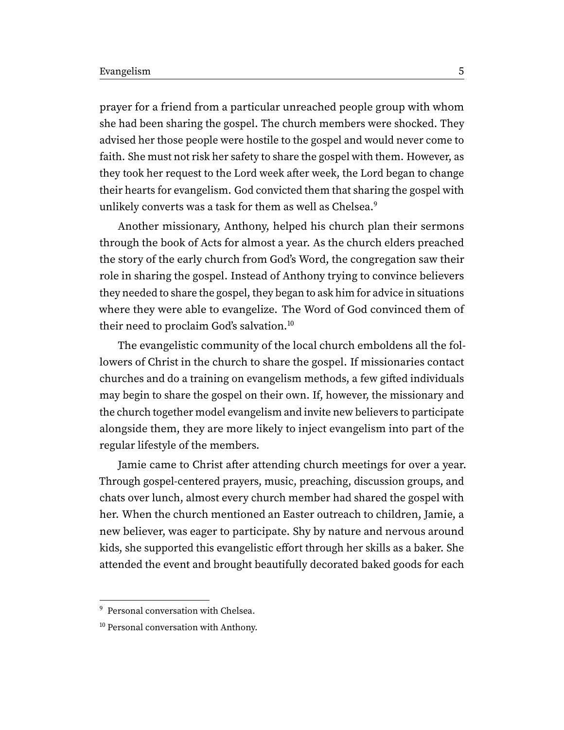prayer for a friend from a particular unreached people group with whom she had been sharing the gospel. The church members were shocked. They advised her those people were hostile to the gospel and would never come to faith. She must not risk her safety to share the gospel with them. However, as they took her request to the Lord week after week, the Lord began to change their hearts for evangelism. God convicted them that sharing the gospel with unlikely converts was a task for them as well as Chelsea.<sup>[9](#page-4-0)</sup>

<span id="page-4-2"></span>Another missionary, Anthony, helped his church plan their sermons through the book of Acts for almost a year. As the church elders preached the story of the early church from God's Word, the congregation saw their role in sharing the gospel. Instead of Anthony trying to convince believers they needed to share the gospel, they began to ask him for advice in situations where they were able to evangelize. The Word of God convinced them of their need to proclaim God's salvation.<sup>[10](#page-4-1)</sup>

<span id="page-4-3"></span>The evangelistic community of the local church emboldens all the followers of Christ in the church to share the gospel. If missionaries contact churches and do a training on evangelism methods, a few gifted individuals may begin to share the gospel on their own. If, however, the missionary and the church together model evangelism and invite new believers to participate alongside them, they are more likely to inject evangelism into part of the regular lifestyle of the members.

Jamie came to Christ after attending church meetings for over a year. Through gospel-centered prayers, music, preaching, discussion groups, and chats over lunch, almost every church member had shared the gospel with her. When the church mentioned an Easter outreach to children, Jamie, a new believer, was eager to participate. Shy by nature and nervous around kids, she supported this evangelistic effort through her skills as a baker. She attended the event and brought beautifully decorated baked goods for each

<span id="page-4-0"></span><sup>&</sup>lt;sup>[9](#page-4-2)</sup> Personal conversation with Chelsea.

<span id="page-4-1"></span><sup>&</sup>lt;sup>[10](#page-4-3)</sup> Personal conversation with Anthony.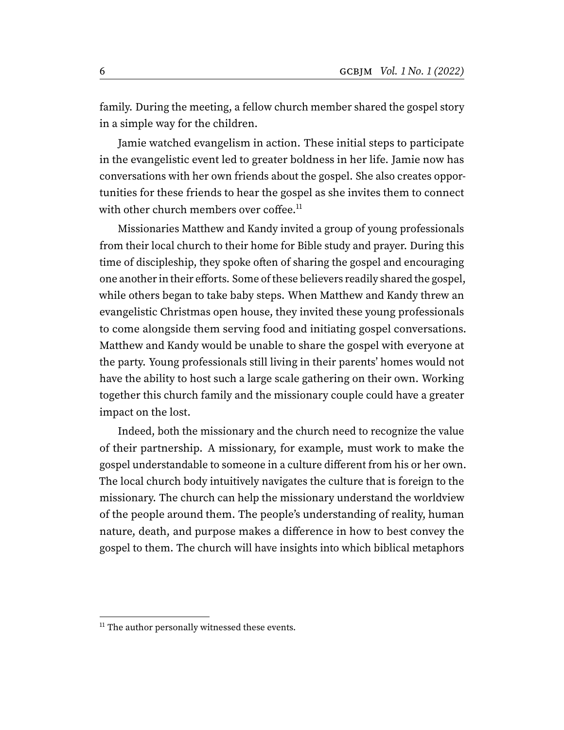family. During the meeting, a fellow church member shared the gospel story in a simple way for the children.

Jamie watched evangelism in action. These initial steps to participate in the evangelistic event led to greater boldness in her life. Jamie now has conversations with her own friends about the gospel. She also creates opportunities for these friends to hear the gospel as she invites them to connect with other church members over coffee.<sup>[11](#page-5-0)</sup>

<span id="page-5-1"></span>Missionaries Matthew and Kandy invited a group of young professionals from their local church to their home for Bible study and prayer. During this time of discipleship, they spoke often of sharing the gospel and encouraging one another in their efforts. Some of these believers readily shared the gospel, while others began to take baby steps. When Matthew and Kandy threw an evangelistic Christmas open house, they invited these young professionals to come alongside them serving food and initiating gospel conversations. Matthew and Kandy would be unable to share the gospel with everyone at the party. Young professionals still living in their parents' homes would not have the ability to host such a large scale gathering on their own. Working together this church family and the missionary couple could have a greater impact on the lost.

Indeed, both the missionary and the church need to recognize the value of their partnership. A missionary, for example, must work to make the gospel understandable to someone in a culture different from his or her own. The local church body intuitively navigates the culture that is foreign to the missionary. The church can help the missionary understand the worldview of the people around them. The people's understanding of reality, human nature, death, and purpose makes a difference in how to best convey the gospel to them. The church will have insights into which biblical metaphors

<span id="page-5-0"></span><sup>&</sup>lt;sup>[11](#page-5-1)</sup> The author personally witnessed these events.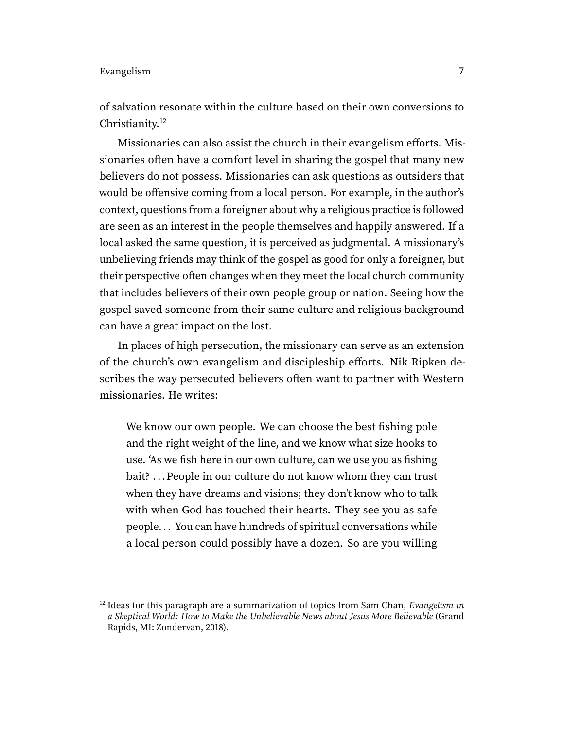<span id="page-6-1"></span>of salvation resonate within the culture based on their own conversions to Christianity.<sup>[12](#page-6-0)</sup>

Missionaries can also assist the church in their evangelism efforts. Missionaries often have a comfort level in sharing the gospel that many new believers do not possess. Missionaries can ask questions as outsiders that would be offensive coming from a local person. For example, in the author's context, questions from a foreigner about why a religious practice is followed are seen as an interest in the people themselves and happily answered. If a local asked the same question, it is perceived as judgmental. A missionary's unbelieving friends may think of the gospel as good for only a foreigner, but their perspective often changes when they meet the local church community that includes believers of their own people group or nation. Seeing how the gospel saved someone from their same culture and religious background can have a great impact on the lost.

In places of high persecution, the missionary can serve as an extension of the church's own evangelism and discipleship efforts. Nik Ripken describes the way persecuted believers often want to partner with Western missionaries. He writes:

We know our own people. We can choose the best fishing pole and the right weight of the line, and we know what size hooks to use. 'As we fish here in our own culture, can we use you as fishing bait? ... People in our culture do not know whom they can trust when they have dreams and visions; they don't know who to talk with when God has touched their hearts. They see you as safe people. . . You can have hundreds of spiritual conversations while a local person could possibly have a dozen. So are you willing

<span id="page-6-0"></span> $12$  Ideas for this paragraph are a summarization of topics from Sam Chan, *Evangelism in* a Skeptical World: How to Make the Unbelievable News about Jesus More Believable (Grand Rapids, MI: Zondervan, 2018).